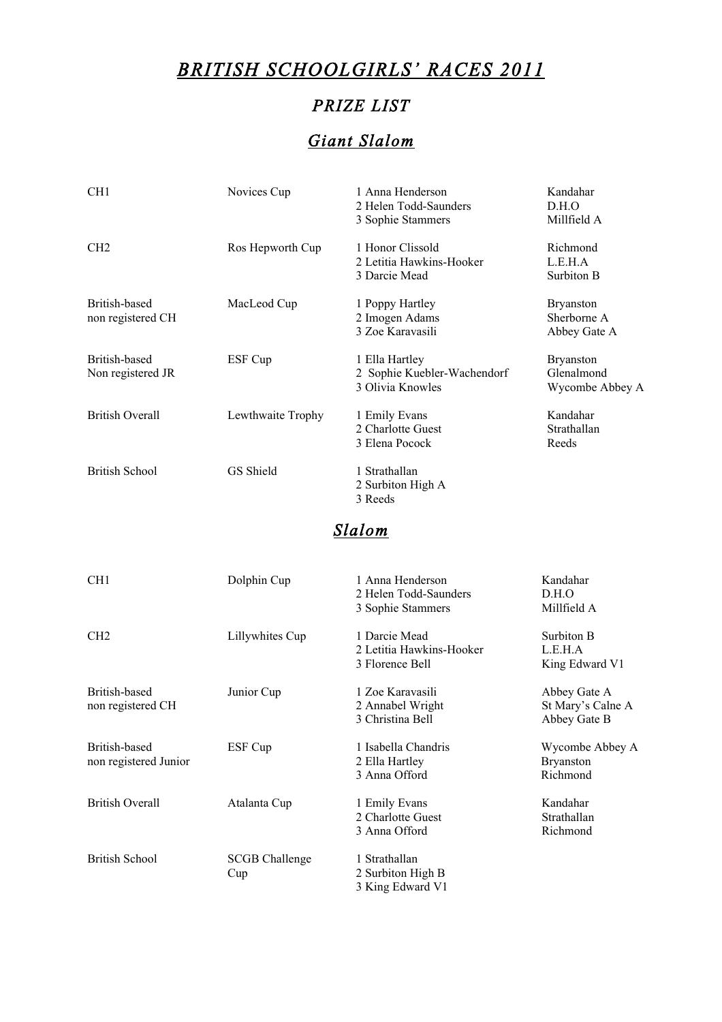# *BRITISH SCHOOLGIRLS' RACES 2011*

## *PRIZE LIST*

## *Giant Slalom*

| CH1                    | Novices Cup       | 1 Anna Henderson            | Kandahar         |
|------------------------|-------------------|-----------------------------|------------------|
|                        |                   | 2 Helen Todd-Saunders       | D.H.O            |
|                        |                   | 3 Sophie Stammers           | Millfield A      |
| CH <sub>2</sub>        | Ros Hepworth Cup  | 1 Honor Clissold            | Richmond         |
|                        |                   | 2 Letitia Hawkins-Hooker    | L.E.H.A          |
|                        |                   | 3 Darcie Mead               | Surbiton B       |
| British-based          | MacLeod Cup       | 1 Poppy Hartley             | <b>Bryanston</b> |
| non registered CH      |                   | 2 Imogen Adams              | Sherborne A      |
|                        |                   | 3 Zoe Karavasili            | Abbey Gate A     |
| British-based          | ESF Cup           | 1 Ella Hartley              | <b>Bryanston</b> |
| Non registered JR      |                   | 2 Sophie Kuebler-Wachendorf | Glenalmond       |
|                        |                   | 3 Olivia Knowles            | Wycombe Abbey A  |
| <b>British Overall</b> | Lewthwaite Trophy | 1 Emily Evans               | Kandahar         |
|                        |                   | 2 Charlotte Guest           | Strathallan      |
|                        |                   | 3 Elena Pocock              | Reeds            |
| <b>British School</b>  | GS Shield         | 1 Strathallan               |                  |
|                        |                   | 2 Surbiton High A           |                  |
|                        |                   | 3 Reeds                     |                  |

### *Slalom*

| CH <sub>1</sub>                        | Dolphin Cup                  | 1 Anna Henderson<br>2 Helen Todd-Saunders<br>3 Sophie Stammers | Kandahar<br>D.H.O<br>Millfield A                  |
|----------------------------------------|------------------------------|----------------------------------------------------------------|---------------------------------------------------|
| CH <sub>2</sub>                        | Lillywhites Cup              | 1 Darcie Mead<br>2 Letitia Hawkins-Hooker<br>3 Florence Bell   | Surbiton B<br>L.E.H.A<br>King Edward V1           |
| British-based<br>non registered CH     | Junior Cup                   | 1 Zoe Karavasili<br>2 Annabel Wright<br>3 Christina Bell       | Abbey Gate A<br>St Mary's Calne A<br>Abbey Gate B |
| British-based<br>non registered Junior | ESF Cup                      | 1 Isabella Chandris<br>2 Ella Hartley<br>3 Anna Offord         | Wycombe Abbey A<br><b>Bryanston</b><br>Richmond   |
| <b>British Overall</b>                 | Atalanta Cup                 | 1 Emily Evans<br>2 Charlotte Guest<br>3 Anna Offord            | Kandahar<br>Strathallan<br>Richmond               |
| <b>British School</b>                  | <b>SCGB Challenge</b><br>Cup | 1 Strathallan<br>2 Surbiton High B<br>3 King Edward V1         |                                                   |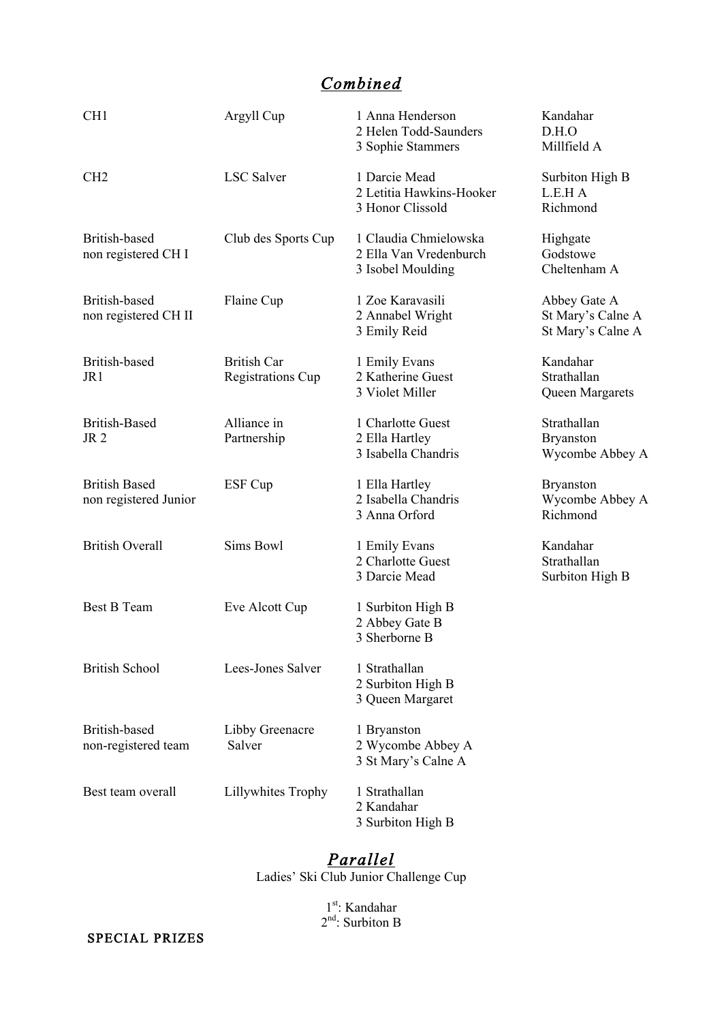# *Combined*

| CH <sub>1</sub>                               | Argyll Cup                                     | 1 Anna Henderson<br>2 Helen Todd-Saunders<br>3 Sophie Stammers       | Kandahar<br>D.H.O<br>Millfield A                       |
|-----------------------------------------------|------------------------------------------------|----------------------------------------------------------------------|--------------------------------------------------------|
| CH <sub>2</sub>                               | <b>LSC</b> Salver                              | 1 Darcie Mead<br>2 Letitia Hawkins-Hooker<br>3 Honor Clissold        | Surbiton High B<br>L.E.H A<br>Richmond                 |
| British-based<br>non registered CH I          | Club des Sports Cup                            | 1 Claudia Chmielowska<br>2 Ella Van Vredenburch<br>3 Isobel Moulding | Highgate<br>Godstowe<br>Cheltenham A                   |
| British-based<br>non registered CH II         | Flaine Cup                                     | 1 Zoe Karavasili<br>2 Annabel Wright<br>3 Emily Reid                 | Abbey Gate A<br>St Mary's Calne A<br>St Mary's Calne A |
| British-based<br>JR1                          | <b>British Car</b><br><b>Registrations Cup</b> | 1 Emily Evans<br>2 Katherine Guest<br>3 Violet Miller                | Kandahar<br>Strathallan<br>Queen Margarets             |
| <b>British-Based</b><br>JR <sub>2</sub>       | Alliance in<br>Partnership                     | 1 Charlotte Guest<br>2 Ella Hartley<br>3 Isabella Chandris           | Strathallan<br><b>Bryanston</b><br>Wycombe Abbey A     |
| <b>British Based</b><br>non registered Junior | ESF Cup                                        | 1 Ella Hartley<br>2 Isabella Chandris<br>3 Anna Orford               | <b>Bryanston</b><br>Wycombe Abbey A<br>Richmond        |
| <b>British Overall</b>                        | Sims Bowl                                      | 1 Emily Evans<br>2 Charlotte Guest<br>3 Darcie Mead                  | Kandahar<br>Strathallan<br>Surbiton High B             |
| <b>Best B Team</b>                            | Eve Alcott Cup                                 | 1 Surbiton High B<br>2 Abbey Gate B<br>3 Sherborne B                 |                                                        |
| <b>British School</b>                         | Lees-Jones Salver                              | 1 Strathallan<br>2 Surbiton High B<br>3 Queen Margaret               |                                                        |
| British-based<br>non-registered team          | Libby Greenacre<br>Salver                      | 1 Bryanston<br>2 Wycombe Abbey A<br>3 St Mary's Calne A              |                                                        |
| Best team overall                             | Lillywhites Trophy                             | 1 Strathallan<br>2 Kandahar<br>3 Surbiton High B                     |                                                        |

### *Parallel*

Ladies' Ski Club Junior Challenge Cup

1<sup>st</sup>: Kandahar  $2<sup>nd</sup>$ : Surbiton B

SPECIAL PRIZES